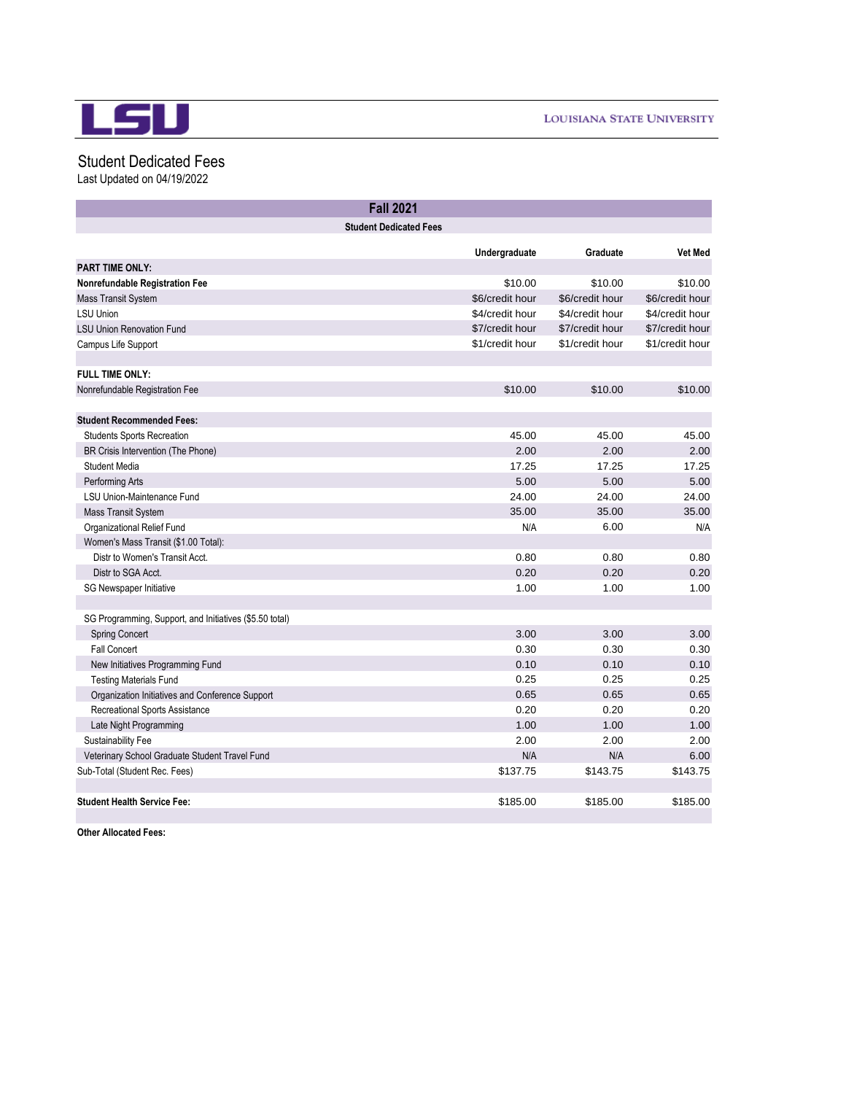

## Student Dedicated Fees

Last Updated on 04/19/2022

| <b>Fall 2021</b>                                        |                               |                 |                 |
|---------------------------------------------------------|-------------------------------|-----------------|-----------------|
|                                                         | <b>Student Dedicated Fees</b> |                 |                 |
|                                                         |                               |                 | <b>Vet Med</b>  |
| <b>PART TIME ONLY:</b>                                  | Undergraduate                 | Graduate        |                 |
| Nonrefundable Registration Fee                          | \$10.00                       | \$10.00         | \$10.00         |
| <b>Mass Transit System</b>                              | \$6/credit hour               | \$6/credit hour | \$6/credit hour |
| <b>LSU Union</b>                                        | \$4/credit hour               | \$4/credit hour | \$4/credit hour |
| <b>LSU Union Renovation Fund</b>                        | \$7/credit hour               | \$7/credit hour | \$7/credit hour |
| Campus Life Support                                     | \$1/credit hour               | \$1/credit hour | \$1/credit hour |
|                                                         |                               |                 |                 |
| <b>FULL TIME ONLY:</b>                                  |                               |                 |                 |
| Nonrefundable Registration Fee                          | \$10.00                       | \$10.00         | \$10.00         |
|                                                         |                               |                 |                 |
| <b>Student Recommended Fees:</b>                        |                               |                 |                 |
| <b>Students Sports Recreation</b>                       | 45.00                         | 45.00           | 45.00           |
| BR Crisis Intervention (The Phone)                      | 2.00                          | 2.00            | 2.00            |
| <b>Student Media</b>                                    | 17.25                         | 17.25           | 17.25           |
| Performing Arts                                         | 5.00                          | 5.00            | 5.00            |
| <b>LSU Union-Maintenance Fund</b>                       | 24.00                         | 24.00           | 24.00           |
| <b>Mass Transit System</b>                              | 35.00                         | 35.00           | 35.00           |
| Organizational Relief Fund                              | N/A                           | 6.00            | N/A             |
| Women's Mass Transit (\$1.00 Total):                    |                               |                 |                 |
| Distr to Women's Transit Acct.                          | 0.80                          | 0.80            | 0.80            |
| Distr to SGA Acct.                                      | 0.20                          | 0.20            | 0.20            |
| SG Newspaper Initiative                                 | 1.00                          | 1.00            | 1.00            |
|                                                         |                               |                 |                 |
| SG Programming, Support, and Initiatives (\$5.50 total) |                               |                 |                 |
| <b>Spring Concert</b>                                   | 3.00                          | 3.00            | 3.00            |
| <b>Fall Concert</b>                                     | 0.30                          | 0.30            | 0.30            |
| New Initiatives Programming Fund                        | 0.10                          | 0.10            | 0.10            |
| <b>Testing Materials Fund</b>                           | 0.25                          | 0.25            | 0.25            |
| Organization Initiatives and Conference Support         | 0.65                          | 0.65            | 0.65            |
| Recreational Sports Assistance                          | 0.20                          | 0.20            | 0.20            |
| Late Night Programming                                  | 1.00                          | 1.00            | 1.00            |
| Sustainability Fee                                      | 2.00                          | 2.00            | 2.00            |
| Veterinary School Graduate Student Travel Fund          | N/A                           | N/A             | 6.00            |
| Sub-Total (Student Rec. Fees)                           | \$137.75                      | \$143.75        | \$143.75        |
|                                                         |                               |                 |                 |
| <b>Student Health Service Fee:</b>                      | \$185.00                      | \$185.00        | \$185.00        |

**Other Allocated Fees:**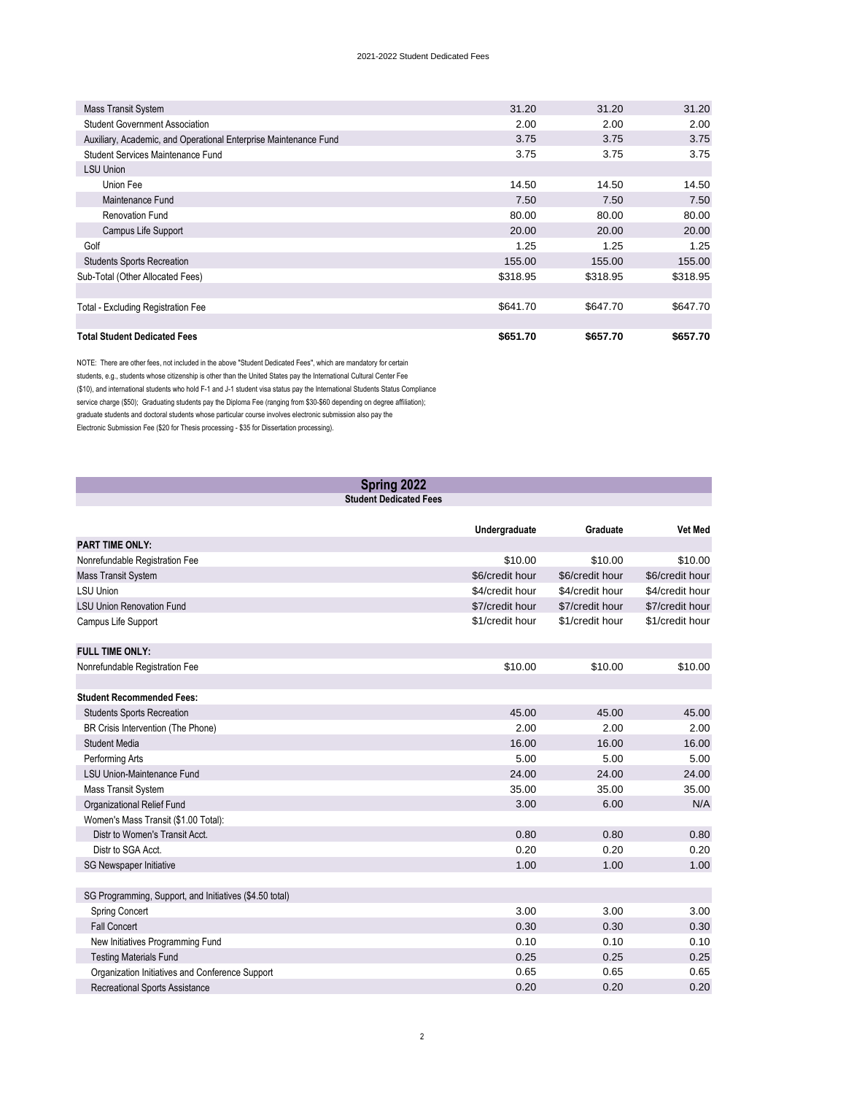## 2021-2022 Student Dedicated Fees

| Mass Transit System                                              | 31.20    | 31.20    | 31.20    |
|------------------------------------------------------------------|----------|----------|----------|
| <b>Student Government Association</b>                            | 2.00     | 2.00     | 2.00     |
| Auxiliary, Academic, and Operational Enterprise Maintenance Fund | 3.75     | 3.75     | 3.75     |
| Student Services Maintenance Fund                                | 3.75     | 3.75     | 3.75     |
| LSU Union                                                        |          |          |          |
| Union Fee                                                        | 14.50    | 14.50    | 14.50    |
| Maintenance Fund                                                 | 7.50     | 7.50     | 7.50     |
| <b>Renovation Fund</b>                                           | 80.00    | 80.00    | 80.00    |
| Campus Life Support                                              | 20.00    | 20.00    | 20.00    |
| Golf                                                             | 1.25     | 1.25     | 1.25     |
| <b>Students Sports Recreation</b>                                | 155.00   | 155.00   | 155.00   |
| Sub-Total (Other Allocated Fees)                                 | \$318.95 | \$318.95 | \$318.95 |
|                                                                  |          |          |          |
| <b>Total - Excluding Registration Fee</b>                        | \$641.70 | \$647.70 | \$647.70 |
|                                                                  |          |          |          |
| <b>Total Student Dedicated Fees</b>                              | \$651.70 | \$657.70 | \$657.70 |

NOTE: There are other fees, not included in the above "Student Dedicated Fees", which are mandatory for certain students, e.g., students whose citizenship is other than the United States pay the International Cultural Center Fee (\$10), and international students who hold F-1 and J-1 student visa status pay the International Students Status Compliance service charge (\$50); Graduating students pay the Diploma Fee (ranging from \$30-\$60 depending on degree affiliation); graduate students and doctoral students whose particular course involves electronic submission also pay the Electronic Submission Fee (\$20 for Thesis processing - \$35 for Dissertation processing).

| Spring 2022<br><b>Student Dedicated Fees</b>            |                 |                 |                 |
|---------------------------------------------------------|-----------------|-----------------|-----------------|
|                                                         |                 |                 |                 |
|                                                         | Undergraduate   | Graduate        | <b>Vet Med</b>  |
| <b>PART TIME ONLY:</b>                                  |                 |                 |                 |
| Nonrefundable Registration Fee                          | \$10.00         | \$10.00         | \$10.00         |
| Mass Transit System                                     | \$6/credit hour | \$6/credit hour | \$6/credit hour |
| <b>LSU Union</b>                                        | \$4/credit hour | \$4/credit hour | \$4/credit hour |
| <b>LSU Union Renovation Fund</b>                        | \$7/credit hour | \$7/credit hour | \$7/credit hour |
| Campus Life Support                                     | \$1/credit hour | \$1/credit hour | \$1/credit hour |
| <b>FULL TIME ONLY:</b>                                  |                 |                 |                 |
| Nonrefundable Registration Fee                          | \$10.00         | \$10.00         | \$10.00         |
|                                                         |                 |                 |                 |
| <b>Student Recommended Fees:</b>                        |                 |                 |                 |
| <b>Students Sports Recreation</b>                       | 45.00           | 45.00           | 45.00           |
| BR Crisis Intervention (The Phone)                      | 2.00            | 2.00            | 2.00            |
| <b>Student Media</b>                                    | 16.00           | 16.00           | 16.00           |
| Performing Arts                                         | 5.00            | 5.00            | 5.00            |
| <b>LSU Union-Maintenance Fund</b>                       | 24.00           | 24.00           | 24.00           |
| <b>Mass Transit System</b>                              | 35.00           | 35.00           | 35.00           |
| Organizational Relief Fund                              | 3.00            | 6.00            | N/A             |
| Women's Mass Transit (\$1.00 Total):                    |                 |                 |                 |
| Distr to Women's Transit Acct.                          | 0.80            | 0.80            | 0.80            |
| Distr to SGA Acct.                                      | 0.20            | 0.20            | 0.20            |
| SG Newspaper Initiative                                 | 1.00            | 1.00            | 1.00            |
| SG Programming, Support, and Initiatives (\$4.50 total) |                 |                 |                 |
| <b>Spring Concert</b>                                   | 3.00            | 3.00            | 3.00            |
| <b>Fall Concert</b>                                     | 0.30            | 0.30            | 0.30            |
| New Initiatives Programming Fund                        | 0.10            | 0.10            | 0.10            |
| <b>Testing Materials Fund</b>                           | 0.25            | 0.25            | 0.25            |
| Organization Initiatives and Conference Support         | 0.65            | 0.65            | 0.65            |
| <b>Recreational Sports Assistance</b>                   | 0.20            | 0.20            | 0.20            |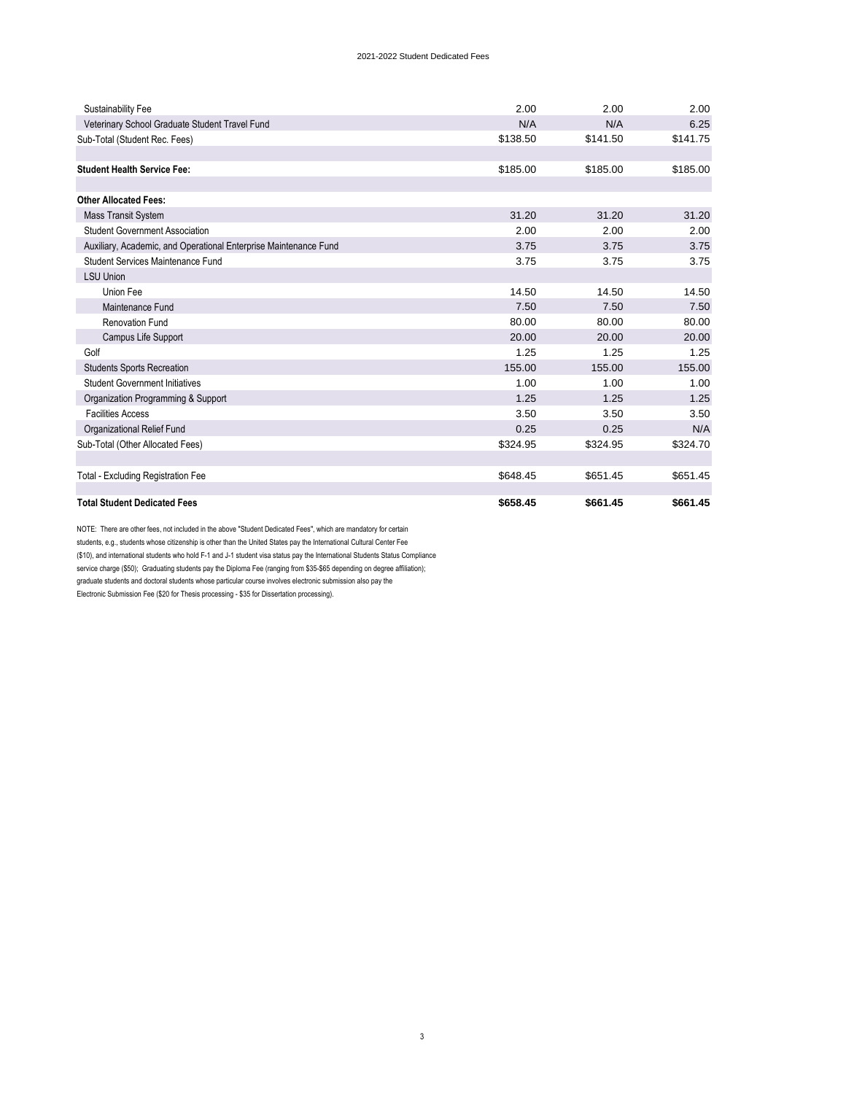## 2021-2022 Student Dedicated Fees

| Sustainability Fee                                               | 2.00     | 2.00     | 2.00     |
|------------------------------------------------------------------|----------|----------|----------|
| Veterinary School Graduate Student Travel Fund                   | N/A      | N/A      | 6.25     |
| Sub-Total (Student Rec. Fees)                                    | \$138.50 | \$141.50 | \$141.75 |
|                                                                  |          |          |          |
| <b>Student Health Service Fee:</b>                               | \$185.00 | \$185.00 | \$185.00 |
|                                                                  |          |          |          |
| <b>Other Allocated Fees:</b>                                     |          |          |          |
| Mass Transit System                                              | 31.20    | 31.20    | 31.20    |
| <b>Student Government Association</b>                            | 2.00     | 2.00     | 2.00     |
| Auxiliary, Academic, and Operational Enterprise Maintenance Fund | 3.75     | 3.75     | 3.75     |
| <b>Student Services Maintenance Fund</b>                         | 3.75     | 3.75     | 3.75     |
| <b>LSU Union</b>                                                 |          |          |          |
| Union Fee                                                        | 14.50    | 14.50    | 14.50    |
| Maintenance Fund                                                 | 7.50     | 7.50     | 7.50     |
| <b>Renovation Fund</b>                                           | 80.00    | 80.00    | 80.00    |
| Campus Life Support                                              | 20.00    | 20.00    | 20.00    |
| Golf                                                             | 1.25     | 1.25     | 1.25     |
| <b>Students Sports Recreation</b>                                | 155.00   | 155.00   | 155.00   |
| <b>Student Government Initiatives</b>                            | 1.00     | 1.00     | 1.00     |
| Organization Programming & Support                               | 1.25     | 1.25     | 1.25     |
| <b>Facilities Access</b>                                         | 3.50     | 3.50     | 3.50     |
| Organizational Relief Fund                                       | 0.25     | 0.25     | N/A      |
| Sub-Total (Other Allocated Fees)                                 | \$324.95 | \$324.95 | \$324.70 |
|                                                                  |          |          |          |
| <b>Total - Excluding Registration Fee</b>                        | \$648.45 | \$651.45 | \$651.45 |
|                                                                  |          |          |          |
| <b>Total Student Dedicated Fees</b>                              | \$658.45 | \$661.45 | \$661.45 |

NOTE: There are other fees, not included in the above "Student Dedicated Fees", which are mandatory for certain students, e.g., students whose citizenship is other than the United States pay the International Cultural Center Fee (\$10), and international students who hold F-1 and J-1 student visa status pay the International Students Status Compliance

service charge (\$50); Graduating students pay the Diploma Fee (ranging from \$35-\$65 depending on degree affiliation);

graduate students and doctoral students whose particular course involves electronic submission also pay the

Electronic Submission Fee (\$20 for Thesis processing - \$35 for Dissertation processing).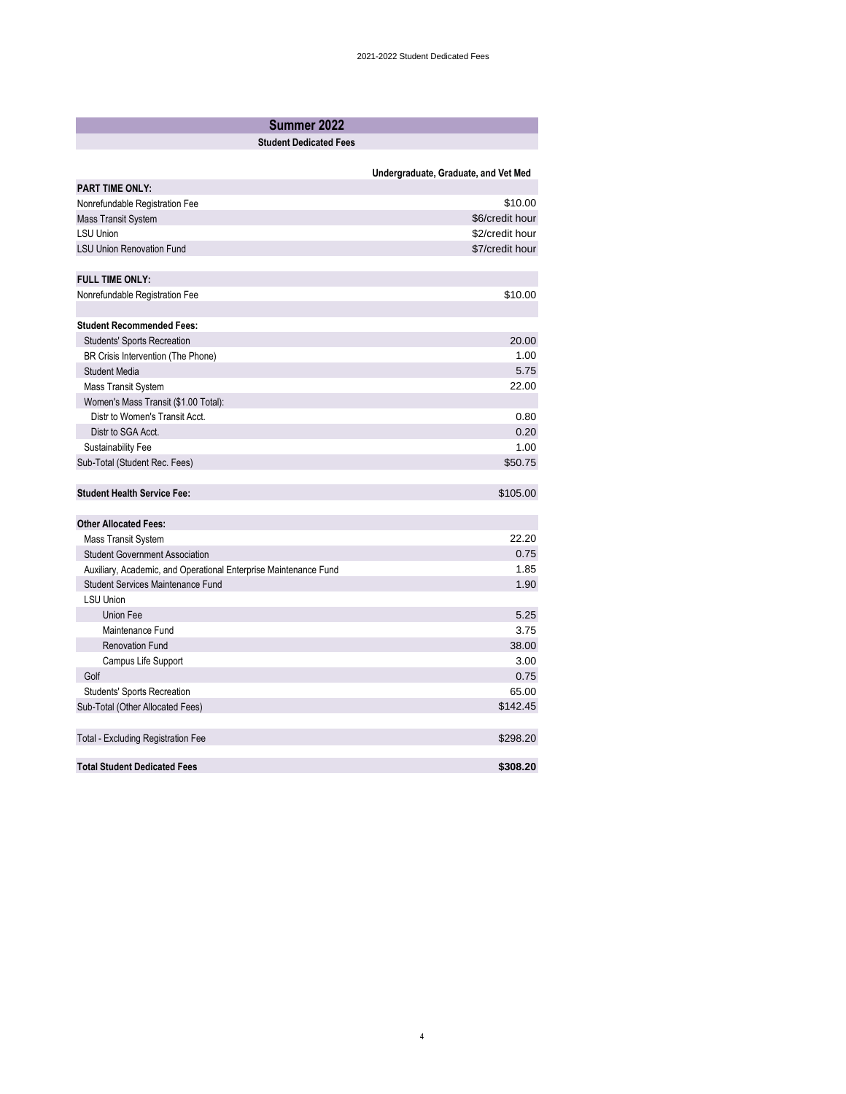| Summer 2022                                                      |                                      |
|------------------------------------------------------------------|--------------------------------------|
| <b>Student Dedicated Fees</b>                                    |                                      |
|                                                                  |                                      |
|                                                                  | Undergraduate, Graduate, and Vet Med |
| <b>PART TIME ONLY:</b>                                           |                                      |
| Nonrefundable Registration Fee                                   | \$10.00                              |
| Mass Transit System                                              | \$6/credit hour                      |
| <b>LSU Union</b>                                                 | \$2/credit hour                      |
| <b>LSU Union Renovation Fund</b>                                 | \$7/credit hour                      |
| <b>FULL TIME ONLY:</b>                                           |                                      |
| Nonrefundable Registration Fee                                   | \$10.00                              |
|                                                                  |                                      |
| <b>Student Recommended Fees:</b>                                 |                                      |
| <b>Students' Sports Recreation</b>                               | 20.00                                |
| BR Crisis Intervention (The Phone)                               | 1.00                                 |
| <b>Student Media</b>                                             | 5.75                                 |
| <b>Mass Transit System</b>                                       | 22.00                                |
| Women's Mass Transit (\$1.00 Total):                             |                                      |
| Distr to Women's Transit Acct.                                   | 0.80                                 |
| Distr to SGA Acct.                                               | 0.20                                 |
| <b>Sustainability Fee</b>                                        | 1.00                                 |
| Sub-Total (Student Rec. Fees)                                    | \$50.75                              |
| <b>Student Health Service Fee:</b>                               | \$105.00                             |
| <b>Other Allocated Fees:</b>                                     |                                      |
| <b>Mass Transit System</b>                                       | 22.20                                |
| <b>Student Government Association</b>                            | 0.75                                 |
| Auxiliary, Academic, and Operational Enterprise Maintenance Fund | 1.85                                 |
| <b>Student Services Maintenance Fund</b>                         | 1.90                                 |
| <b>LSU Union</b>                                                 |                                      |
| <b>Union Fee</b>                                                 | 5.25                                 |
| Maintenance Fund                                                 | 3.75                                 |
| <b>Renovation Fund</b>                                           | 38.00                                |
| Campus Life Support                                              | 3.00                                 |
| Golf                                                             | 0.75                                 |
| Students' Sports Recreation                                      | 65.00                                |
| Sub-Total (Other Allocated Fees)                                 | \$142.45                             |
|                                                                  |                                      |
| <b>Total - Excluding Registration Fee</b>                        | \$298.20                             |
| <b>Total Student Dedicated Fees</b>                              | \$308.20                             |